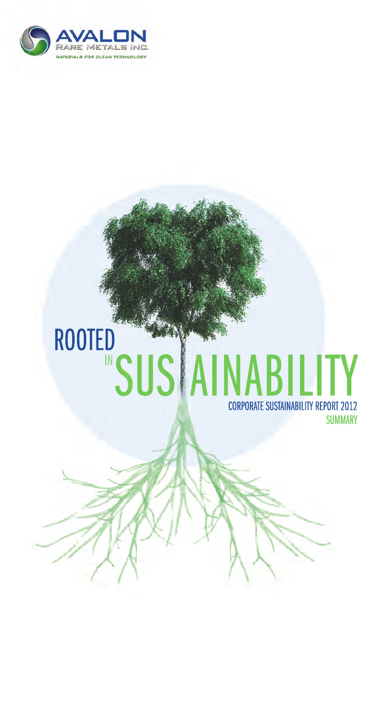

# CORPORATE SUSTAINABILITY REPORT 2012 ROOTED IN**SUSAINABILITY**

**SUMMARY**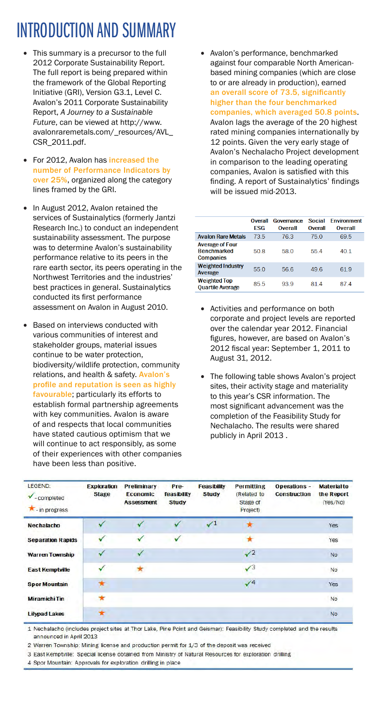# INTRODUCTION AND SUMMARY

- This summary is a precursor to the full 2012 Corporate Sustainability Report. The full report is being prepared within the framework of the Global Reporting Initiative (GRI), Version G3.1, Level C. Avalon's 2011 Corporate Sustainability Report, *A Journey to a Sustainable Future*, can be viewed at http://www. avalonraremetals.com/\_resources/AVL\_ CSR\_2011.pdf.
- For 2012, Avalon has increased the number of Performance Indicators by over 25%, organized along the category lines framed by the GRI.
- In August 2012, Avalon retained the services of Sustainalytics (formerly Jantzi Research Inc.) to conduct an independent sustainability assessment. The purpose was to determine Avalon's sustainability performance relative to its peers in the rare earth sector, its peers operating in the Northwest Territories and the industries' best practices in general. Sustainalytics conducted its first performance assessment on Avalon in August 2010.
- Based on interviews conducted with various communities of interest and stakeholder groups, material issues continue to be water protection, biodiversity/wildlife protection, community relations, and health & safety. Avalon's profile and reputation is seen as highly favourable; particularly its efforts to establish formal partnership agreements with key communities. Avalon is aware of and respects that local communities have stated cautious optimism that we will continue to act responsibly, as some of their experiences with other companies have been less than positive.

Avalon's performance, benchmarked against four comparable North Americanbased mining companies (which are close to or are already in production), earned an overall score of 73.5, significantly higher than the four benchmarked companies, which averaged 50.8 points. Avalon lags the average of the 20 highest rated mining companies internationally by 12 points. Given the very early stage of Avalon's Nechalacho Project development in comparison to the leading operating companies, Avalon is satisfied with this finding. A report of Sustainalytics' findings will be issued mid-2013.

|                                                                  | Overall<br>FSG | Governance<br>Overall | Social<br>Overall | <b>Fnvironment</b><br>Overall |
|------------------------------------------------------------------|----------------|-----------------------|-------------------|-------------------------------|
| <b>Avalon Rare Metals</b>                                        | 73.5           | 763                   | 750               | 695                           |
| <b>Average of Four</b><br><b>Benchmarked</b><br><b>Companies</b> | 50.8           | 58.0                  | 554               | 40.1                          |
| <b>Weighted Industry</b><br>Average                              | 55.0           | 56.6                  | 49.6              | 61.9                          |
| <b>Weighted Top</b><br><b>Ouartile Average</b>                   | 855            | 939                   | 814               | 874                           |

- • Activities and performance on both corporate and project levels are reported over the calendar year 2012. Financial figures, however, are based on Avalon's 2012 fiscal year: September 1, 2011 to August 31, 2012.
- The following table shows Avalon's project sites, their activity stage and materiality to this year's CSR information. The most significant advancement was the completion of the Feasibility Study for Nechalacho. The results were shared publicly in April 2013 .

| LEGEND:<br>- completed<br>$\star$ - in progress | <b>Exploration</b><br><b>Stage</b> | <b>Preliminary</b><br><b>Economic</b><br><b>Assessment</b> | Pre-<br>feasibility<br><b>Study</b> | <b>Feasibility</b><br><b>Study</b> | <b>Permitting</b><br>(Related to<br>Stage of<br>Project) | <b>Operations -</b><br><b>Construction</b> | <b>Material to</b><br>the Report<br>(Yes/No) |
|-------------------------------------------------|------------------------------------|------------------------------------------------------------|-------------------------------------|------------------------------------|----------------------------------------------------------|--------------------------------------------|----------------------------------------------|
| Nechalacho                                      |                                    |                                                            |                                     | $\sqrt{1}$                         |                                                          |                                            | Yes                                          |
| <b>Separation Rapids</b>                        |                                    | ✓                                                          | ✓                                   |                                    | *                                                        |                                            | Yes                                          |
| <b>Warren Township</b>                          |                                    | ✓                                                          |                                     |                                    | $\sqrt{2}$                                               |                                            | <b>No</b>                                    |
| <b>East Kemptville</b>                          |                                    |                                                            |                                     |                                    | $\sqrt{3}$                                               |                                            | No                                           |
| <b>Spor Mountain</b>                            | ★                                  |                                                            |                                     |                                    | $\sqrt{4}$                                               |                                            | Yes                                          |
| <b>Miramichi Tin</b>                            | ÷                                  |                                                            |                                     |                                    |                                                          |                                            | No                                           |
| <b>Lilypad Lakes</b>                            |                                    |                                                            |                                     |                                    |                                                          |                                            | No                                           |

1 Nechalacho (includes project sites at Thor Lake, Pine Point and Geismar): Feasibility Study completed and the results announced in April 2013

2 Warren Township: Mining license and production permit for 1/3 of the deposit was received

3 East Kemptville: Special license obtained from Ministry of Natural Resources for exploration drilling

4 Spor Mountain: Approvals for exploration drilling in place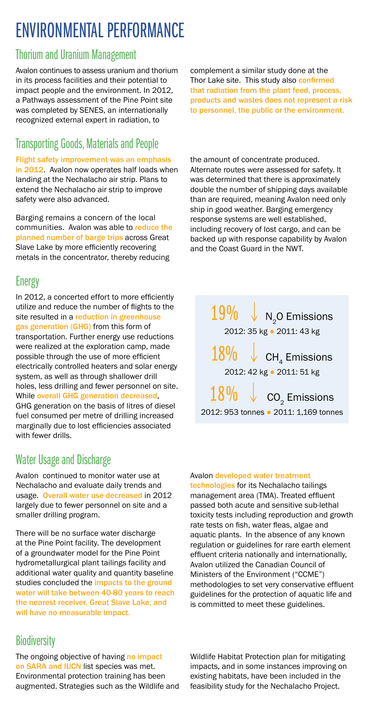## ENVIRONMENTAL PERFORMANCE

## Thorium and Uranium Management

Avalon continues to assess uranium and thorium in its process facilities and their potential to impact people and the environment. In 2012, a Pathways assessment of the Pine Point site was completed by SENES, an internationally recognized external expert in radiation, to

## Transporting Goods, Materials and People

#### Flight safety improvement was an emphasis

in 2012. Avalon now operates half loads when landing at the Nechalacho air strip. Plans to extend the Nechalacho air strip to improve safety were also advanced.

Barging remains a concern of the local communities. Avalon was able to reduce the planned number of barge trips across Great Slave Lake by more efficiently recovering metals in the concentrator, thereby reducing

## **Energy**

In 2012, a concerted effort to more efficiently utilize and reduce the number of flights to the site resulted in a reduction in greenhouse gas generation (GHG) from this form of transportation. Further energy use reductions were realized at the exploration camp, made possible through the use of more efficient electrically controlled heaters and solar energy system, as well as through shallower drill holes, less drilling and fewer personnel on site. While overall GHG generation decreased, GHG generation on the basis of litres of diesel fuel consumed per metre of drilling increased marginally due to lost efficiencies associated with fewer drills.

## Water Usage and Discharge

Avalon continued to monitor water use at Nechalacho and evaluate daily trends and usage. Overall water use decreased in 2012 largely due to fewer personnel on site and a smaller drilling program.

There will be no surface water discharge at the Pine Point facility. The development of a groundwater model for the Pine Point hydrometallurgical plant tailings facility and additional water quality and quantity baseline studies concluded the impacts to the ground water will take between 40-80 years to reach the nearest receiver, Great Slave Lake, and will have no measurable impact.

## **Biodiversity**

The ongoing objective of having no impact on SARA and IUCN list species was met. Environmental protection training has been augmented. Strategies such as the Wildlife and complement a similar study done at the Thor Lake site. This study also confirmed that radiation from the plant feed, process, products and wastes does not represent a risk to personnel, the public or the environment.

the amount of concentrate produced. Alternate routes were assessed for safety. It was determined that there is approximately double the number of shipping days available than are required, meaning Avalon need only ship in good weather. Barging emergency response systems are well established, including recovery of lost cargo, and can be backed up with response capability by Avalon and the Coast Guard in the NWT.

 $19\%$   $\sqrt{N_2O}$  Emissions 2012: 35 kg ● 2011: 43 kg  $18\%$   $\downarrow$  CH<sub>4</sub> Emissions 2012: 42 kg ● 2011: 51 kg  $18\%$   $\downarrow$   $\,$  CO<sub>2</sub> Emissions

2012: 953 tonnes ● 2011: 1,169 tonnes

### Avalon developed water treatment

technologies for its Nechalacho tailings management area (TMA). Treated effluent passed both acute and sensitive sub-lethal toxicity tests including reproduction and growth rate tests on fish, water fleas, algae and aquatic plants. In the absence of any known regulation or guidelines for rare earth element effluent criteria nationally and internationally, Avalon utilized the Canadian Council of Ministers of the Environment ("CCME") methodologies to set very conservative effluent guidelines for the protection of aquatic life and is committed to meet these guidelines.

Wildlife Habitat Protection plan for mitigating impacts, and in some instances improving on existing habitats, have been included in the feasibility study for the Nechalacho Project.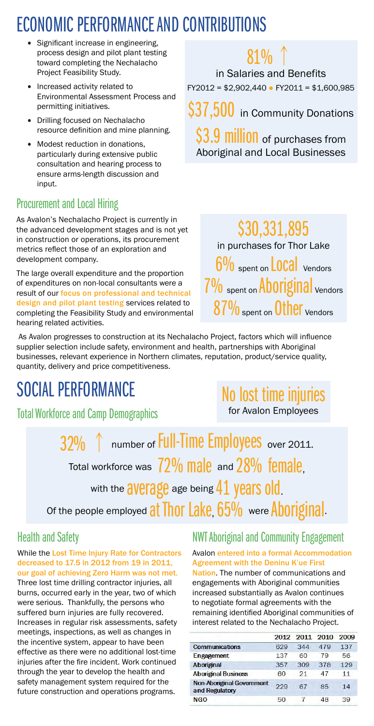# ECONOMIC PERFORMANCE AND CONTRIBUTIONS

- Significant increase in engineering, process design and pilot plant testing toward completing the Nechalacho Project Feasibility Study.
- Increased activity related to Environmental Assessment Process and permitting initiatives.
- • Drilling focused on Nechalacho resource definition and mine planning.
- Modest reduction in donations, particularly during extensive public consultation and hearing process to ensure arms-length discussion and input.

## Procurement and Local Hiring

As Avalon's Nechalacho Project is currently in the advanced development stages and is not yet in construction or operations, its procurement metrics reflect those of an exploration and development company.

The large overall expenditure and the proportion of expenditures on non-local consultants were a result of our focus on professional and technical design and pilot plant testing services related to completing the Feasibility Study and environmental hearing related activities.

 As Avalon progresses to construction at its Nechalacho Project, factors which will influence supplier selection include safety, environment and health, partnerships with Aboriginal businesses, relevant experience in Northern climates, reputation, product/service quality, quantity, delivery and price competitiveness.

# SOCIAL PERFORMANCE

Total Workforce and Camp Demographics

No lost time injuries for Avalon Employees

number of Full-Time Employees over 2011. Total workforce was  $72\%$  male and  $28\%$  female, with the average age being 41 years old. Of the people employed at Thor Lake, 65% were Aboriginal.

## Health and Safety

While the Lost Time Injury Rate for Contractors decreased to 17.5 in 2012 from 19 in 2011, our goal of achieving Zero Harm was not met. Three lost time drilling contractor injuries, all burns, occurred early in the year, two of which were serious. Thankfully, the persons who suffered burn injuries are fully recovered. Increases in regular risk assessments, safety meetings, inspections, as well as changes in the incentive system, appear to have been effective as there were no additional lost-time injuries after the fire incident. Work continued through the year to develop the health and safety management system required for the future construction and operations programs.

NWT Aboriginal and Community Engagement

### Avalon entered into a formal Accommodation Agreement with the Deninu K'ue First

Nation. The number of communications and engagements with Aboriginal communities increased substantially as Avalon continues to negotiate formal agreements with the remaining identified Aboriginal communities of interest related to the Nechalacho Project.

|                                                    |     |     | 2012 2011 2010 | 2009 |
|----------------------------------------------------|-----|-----|----------------|------|
| <b>Communications</b>                              | 629 | 344 | 479            | 137  |
| <b>Engagement</b>                                  | 137 | 60  | 79             | 56   |
| <b>Aboriginal</b>                                  | 357 | 309 | 378            | 129  |
| <b>Aboriginal Business</b>                         | 60  | 21  | 47             | 11   |
| <b>Non-Aboriginal Government</b><br>and Regulatory | 229 | 67  | 85             | 14   |
| <b>NGO</b>                                         | 50  |     | 48             | 39   |
|                                                    |     |     |                |      |

# \$30,331,895 in purchases for Thor Lake  $6\%$  spent on LOCAl Vendors 7% spent on Aboriginal vendors

87% spent on Other Vendors

\$3.9 million of purchases from Aboriginal and Local Businesses

 $81\%$  ↑

in Salaries and Benefits FY2012 = \$2,902,440 ● FY2011 = \$1,600,985

\$37,500 in Community Donations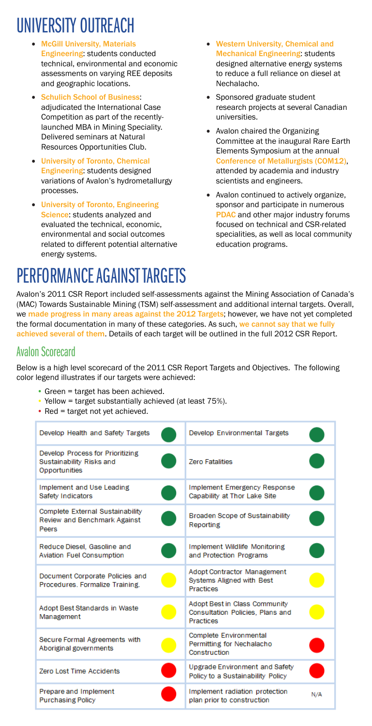# UNIVERSITY OUTREACH

- **McGill University, Materials** Engineering: students conducted technical, environmental and economic assessments on varying REE deposits and geographic locations.
- Schulich School of Business: adjudicated the International Case Competition as part of the recentlylaunched MBA in Mining Speciality. Delivered seminars at Natural Resources Opportunities Club.
- • University of Toronto, Chemical Engineering: students designed variations of Avalon's hydrometallurgy processes.
- • University of Toronto, Engineering Science: students analyzed and evaluated the technical, economic, environmental and social outcomes related to different potential alternative energy systems.
- • Western University, Chemical and Mechanical Engineering: students designed alternative energy systems to reduce a full reliance on diesel at Nechalacho.
- • Sponsored graduate student research projects at several Canadian universities.
- Avalon chaired the Organizing Committee at the inaugural Rare Earth Elements Symposium at the annual Conference of Metallurgists (COM12), attended by academia and industry scientists and engineers.
- • Avalon continued to actively organize, sponsor and participate in numerous PDAC and other major industry forums focused on technical and CSR-related specialities, as well as local community education programs.

# PERFORMANCE AGAINST TARGETS

Avalon's 2011 CSR Report included self-assessments against the Mining Association of Canada's (MAC) Towards Sustainable Mining (TSM) self-assessment and additional internal targets. Overall, we made progress in many areas against the 2012 Targets; however, we have not yet completed the formal documentation in many of these categories. As such, we cannot say that we fully achieved several of them. Details of each target will be outlined in the full 2012 CSR Report.

## Avalon Scorecard

Below is a high level scorecard of the 2011 CSR Report Targets and Objectives. The following color legend illustrates if our targets were achieved:

- Green = target has been achieved.
- Yellow = target substantially achieved (at least 75%).
- Red = target not yet achieved.

| Develop Health and Safety Targets                                                | Develop Environmental Targets                                                              |     |
|----------------------------------------------------------------------------------|--------------------------------------------------------------------------------------------|-----|
| Develop Process for Prioritizing<br>Sustainability Risks and<br>Opportunities    | <b>Zero Fatalities</b>                                                                     |     |
| Implement and Use Leading<br>Safety Indicators                                   | Implement Emergency Response<br>Capability at Thor Lake Site                               |     |
| Complete External Sustainability<br><b>Review and Benchmark Against</b><br>Peers | Broaden Scope of Sustainability<br>Reporting                                               |     |
| Reduce Diesel, Gasoline and<br><b>Aviation Fuel Consumption</b>                  | Implement Wildlife Monitoring<br>and Protection Programs                                   |     |
| Document Corporate Policies and<br>Procedures, Formalize Training.               | <b>Adopt Contractor Management</b><br><b>Systems Aligned with Best</b><br><b>Practices</b> |     |
| Adopt Best Standards in Waste<br>Management                                      | Adopt Best in Class Community<br>Consultation Policies, Plans and<br><b>Practices</b>      |     |
| Secure Formal Agreements with<br>Aboriginal governments                          | Complete Environmental<br>Permitting for Nechalacho<br>Construction                        |     |
| Zero Lost Time Accidents                                                         | Upgrade Environment and Safety<br>Policy to a Sustainability Policy                        |     |
| Prepare and Implement<br><b>Purchasing Policy</b>                                | Implement radiation protection<br>plan prior to construction                               | N/A |